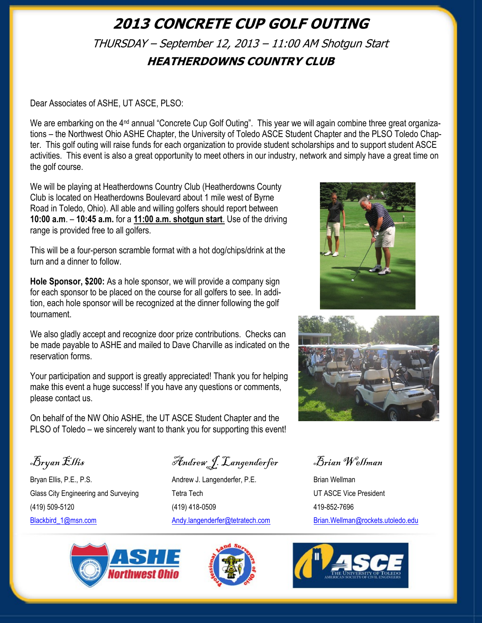## <span id="page-0-0"></span>**2013 CONCRETE CUP GOLF OUTING** THURSDAY – September 12, 2013 – 11:00 AM Shotgun Start **HEATHERDOWNS COUNTRY CLUB**

Dear Associates of ASHE, UT ASCE, PLSO:

We are embarking on the 4<sup>nd</sup> annual "Concrete Cup Golf Outing". This year we will again combine three great organizations – the Northwest Ohio ASHE Chapter, the University of Toledo ASCE Student Chapter and the PLSO Toledo Chapter. This golf outing will raise funds for each organization to provide student scholarships and to support student ASCE activities. This event is also a great opportunity to meet others in our industry, network and simply have a great time on the golf course.

We will be playing at Heatherdowns Country Club (Heatherdowns County Club is located on Heatherdowns Boulevard about 1 mile west of Byrne Road in Toledo, Ohio). All able and willing golfers should report between **10:00 a.m**. – **10:45 a.m.** for a **11:00 a.m. shotgun start**. Use of the driving range is provided free to all golfers.

This will be a four-person scramble format with a hot dog/chips/drink at the turn and a dinner to follow.

**Hole Sponsor, \$200:** As a hole sponsor, we will provide a company sign for each sponsor to be placed on the course for all golfers to see. In addition, each hole sponsor will be recognized at the dinner following the golf tournament.

We also gladly accept and recognize door prize contributions. Checks can be made payable to ASHE and mailed to Dave Charville as indicated on the reservation forms.

Your participation and support is greatly appreciated! Thank you for helping make this event a huge success! If you have any questions or comments, please contact us.

On behalf of the NW Ohio ASHE, the UT ASCE Student Chapter and the PLSO of Toledo – we sincerely want to thank you for supporting this event!





Bryan Ellis, P.E., P.S. The Contract Andrew J. Langenderfer, P.E. The Brian Wellman Glass City Engineering and Surveying Tetra Tech Tech UT ASCE Vice President (419) 509-5120 (419) 418-0509 419-852-7696 [Blackbird\\_1@msn.com](mailto:Blackbird_1@msn.com) [Andy.langenderfer@tetratech.com](mailto:Andy.langenderfer@tetratech.com) [Brian.Wellman@rockets.utoledo.edu](#page-0-0)

Bryan Ellis Andrew J. Langenderfer Brian Wellman





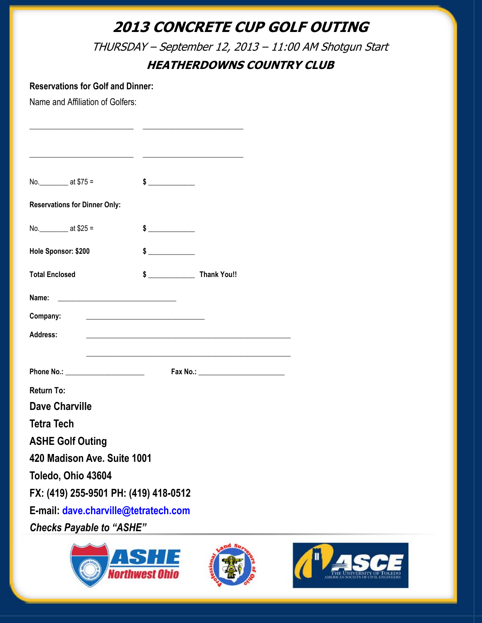# **2013 CONCRETE CUP GOLF OUTING**

THURSDAY – September 12, 2013 – 11:00 AM Shotgun Start

### **HEATHERDOWNS COUNTRY CLUB**

#### **Reservations for Golf and Dinner:**

Name and Affiliation of Golfers:

| No. ____________ at \$75 =            |                                                   | $\frac{1}{2}$                                                                                                         |  |  |  |
|---------------------------------------|---------------------------------------------------|-----------------------------------------------------------------------------------------------------------------------|--|--|--|
| <b>Reservations for Dinner Only:</b>  |                                                   |                                                                                                                       |  |  |  |
| No. $at $25 =$                        |                                                   | $\frac{1}{2}$                                                                                                         |  |  |  |
| Hole Sponsor: \$200                   |                                                   | $\frac{1}{2}$                                                                                                         |  |  |  |
| <b>Total Enclosed</b>                 |                                                   |                                                                                                                       |  |  |  |
| Name:                                 | <u> 2008 - Jan Barnett, mars et al. (b. 1982)</u> |                                                                                                                       |  |  |  |
| Company:                              |                                                   | <u> 1999 - Johann Harry Harry Harry Harry Harry Harry Harry Harry Harry Harry Harry Harry Harry Harry Harry Harry</u> |  |  |  |
| <b>Address:</b>                       |                                                   |                                                                                                                       |  |  |  |
|                                       |                                                   |                                                                                                                       |  |  |  |
|                                       |                                                   |                                                                                                                       |  |  |  |
| <b>Return To:</b>                     |                                                   |                                                                                                                       |  |  |  |
| <b>Dave Charville</b>                 |                                                   |                                                                                                                       |  |  |  |
| <b>Tetra Tech</b>                     |                                                   |                                                                                                                       |  |  |  |
| <b>ASHE Golf Outing</b>               |                                                   |                                                                                                                       |  |  |  |
| 420 Madison Ave. Suite 1001           |                                                   |                                                                                                                       |  |  |  |
| Toledo, Ohio 43604                    |                                                   |                                                                                                                       |  |  |  |
| FX: (419) 255-9501 PH: (419) 418-0512 |                                                   |                                                                                                                       |  |  |  |
| E-mail: dave.charville@tetratech.com  |                                                   |                                                                                                                       |  |  |  |
| <b>Checks Payable to "ASHE"</b>       |                                                   |                                                                                                                       |  |  |  |
| and Su                                |                                                   |                                                                                                                       |  |  |  |